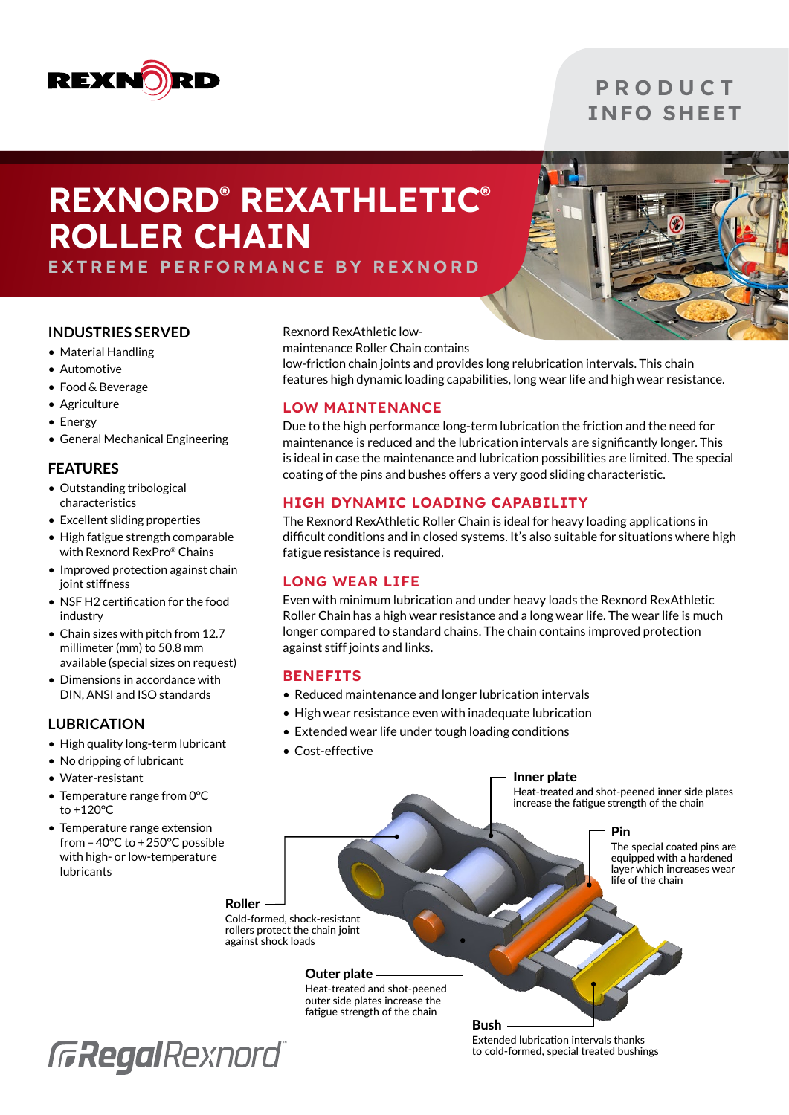

# **P R O D U C T** INFO SHEET

# REXNORD® REXATHLETIC® ROLLER CHAIN



# EXTREME PERFORMANCE BY REXNORD

#### **INDUSTRIES SERVED**

- Material Handling
- Automotive
- Food & Beverage
- Agriculture
- Energy
- General Mechanical Engineering

#### **FEATURES**

- Outstanding tribological characteristics
- Excellent sliding properties
- High fatigue strength comparable with Rexnord RexPro® Chains
- Improved protection against chain joint stiffness
- NSF H2 certification for the food industry
- Chain sizes with pitch from 12.7 millimeter (mm) to 50.8 mm available (special sizes on request)
- Dimensions in accordance with DIN, ANSI and ISO standards

## **LUBRICATION**

- High quality long-term lubricant
- No dripping of lubricant
- Water-resistant
- Temperature range from 0°C to +120°C
- Temperature range extension from –40°C to +250°C possible with high- or low-temperature lubricants

Rexnord RexAthletic low-

maintenance Roller Chain contains

low-friction chain joints and provides long relubrication intervals. This chain features high dynamic loading capabilities, long wear life and high wear resistance.

# LOW MAINTENANCE

Due to the high performance long-term lubrication the friction and the need for maintenance is reduced and the lubrication intervals are significantly longer. This is ideal in case the maintenance and lubrication possibilities are limited. The special coating of the pins and bushes offers a very good sliding characteristic.

## HIGH DYNAMIC LOADING CAPABILITY

The Rexnord RexAthletic Roller Chain is ideal for heavy loading applications in difficult conditions and in closed systems. It's also suitable for situations where high fatigue resistance is required.

## LONG WEAR LIFE

Even with minimum lubrication and under heavy loads the Rexnord RexAthletic Roller Chain has a high wear resistance and a long wear life. The wear life is much longer compared to standard chains. The chain contains improved protection against stiff joints and links.

## **BENEFITS**

- Reduced maintenance and longer lubrication intervals
- High wear resistance even with inadequate lubrication
- Extended wear life under tough loading conditions
- Cost-effective

#### Inner plate

Heat-treated and shot-peened inner side plates increase the fatigue strength of the chain

Pin

The special coated pins are equipped with a hardened layer which increases wear life of the chain

#### Roller

Cold-formed, shock-resistant rollers protect the chain joint against shock loads

#### Outer plate

Heat-treated and shot-peened outer side plates increase the fatigue strength of the chain



Extended lubrication intervals thanks to cold-formed, special treated bushings

Bush